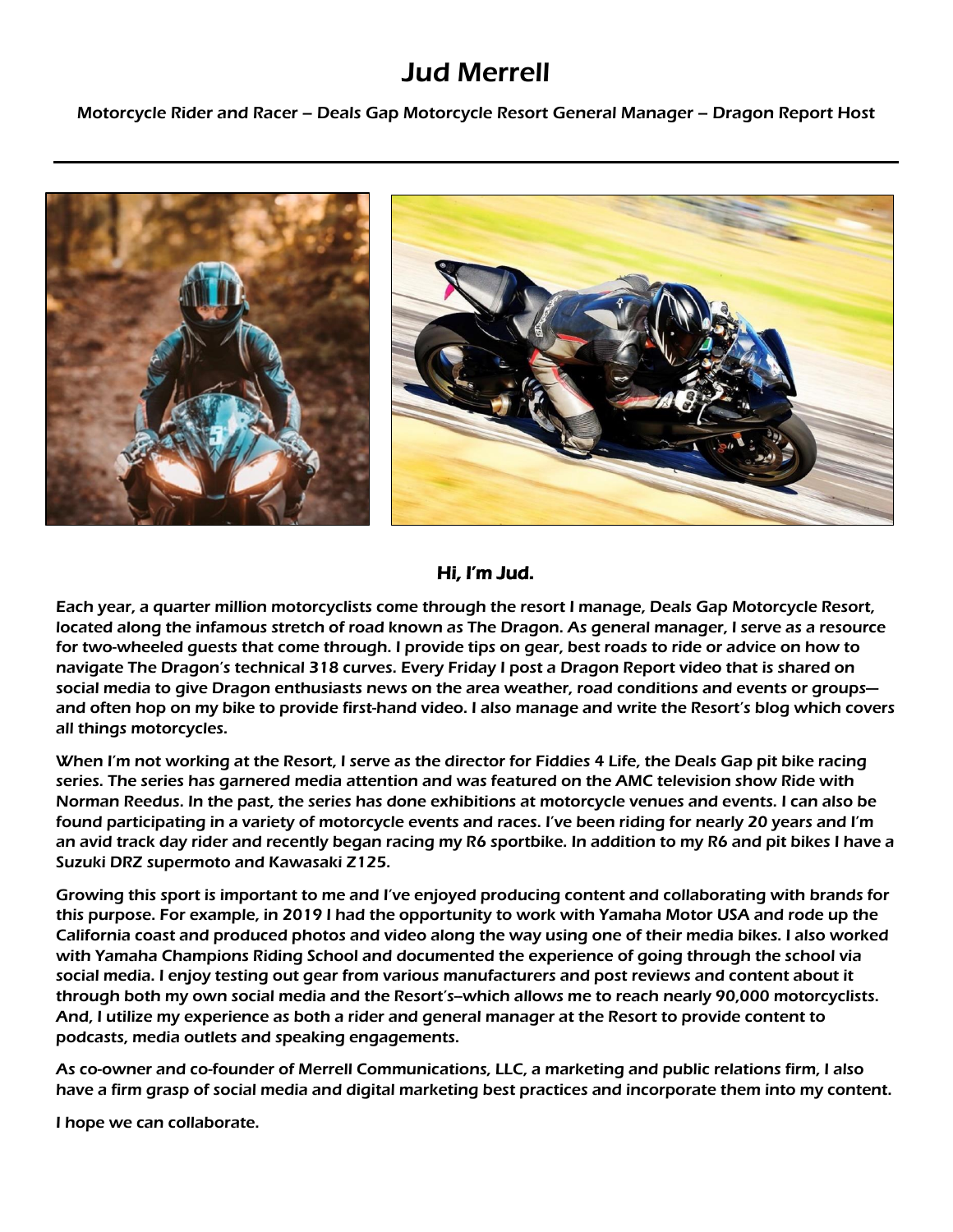# Jud Merrell

Motorcycle Rider and Racer – Deals Gap Motorcycle Resort General Manager – Dragon Report Host



### Hi, I'm Jud.

Each year, a quarter million motorcyclists come through the resort I manage, Deals Gap Motorcycle Resort, located along the infamous stretch of road known as The Dragon. As general manager, I serve as a resource for two-wheeled guests that come through. I provide tips on gear, best roads to ride or advice on how to navigate The Dragon's technical 318 curves. Every Friday I post a Dragon Report video that is shared on social media to give Dragon enthusiasts news on the area weather, road conditions and events or groups and often hop on my bike to provide first-hand video. I also manage and write the Resort's blog which covers all things motorcycles.

When I'm not working at the Resort, I serve as the director for Fiddies 4 Life, the Deals Gap pit bike racing series. The series has garnered media attention and was featured on the AMC television show Ride with Norman Reedus. In the past, the series has done exhibitions at motorcycle venues and events. I can also be found participating in a variety of motorcycle events and races. I've been riding for nearly 20 years and I'm an avid track day rider and recently began racing my R6 sportbike. In addition to my R6 and pit bikes I have a Suzuki DRZ supermoto and Kawasaki Z125.

Growing this sport is important to me and I've enjoyed producing content and collaborating with brands for this purpose. For example, in 2019 I had the opportunity to work with Yamaha Motor USA and rode up the California coast and produced photos and video along the way using one of their media bikes. I also worked with Yamaha Champions Riding School and documented the experience of going through the school via social media. I enjoy testing out gear from various manufacturers and post reviews and content about it through both my own social media and the Resort's--which allows me to reach nearly 90,000 motorcyclists. And, I utilize my experience as both a rider and general manager at the Resort to provide content to podcasts, media outlets and speaking engagements.

As co-owner and co-founder of Merrell Communications, LLC, a marketing and public relations firm, I also have a firm grasp of social media and digital marketing best practices and incorporate them into my content.

I hope we can collaborate.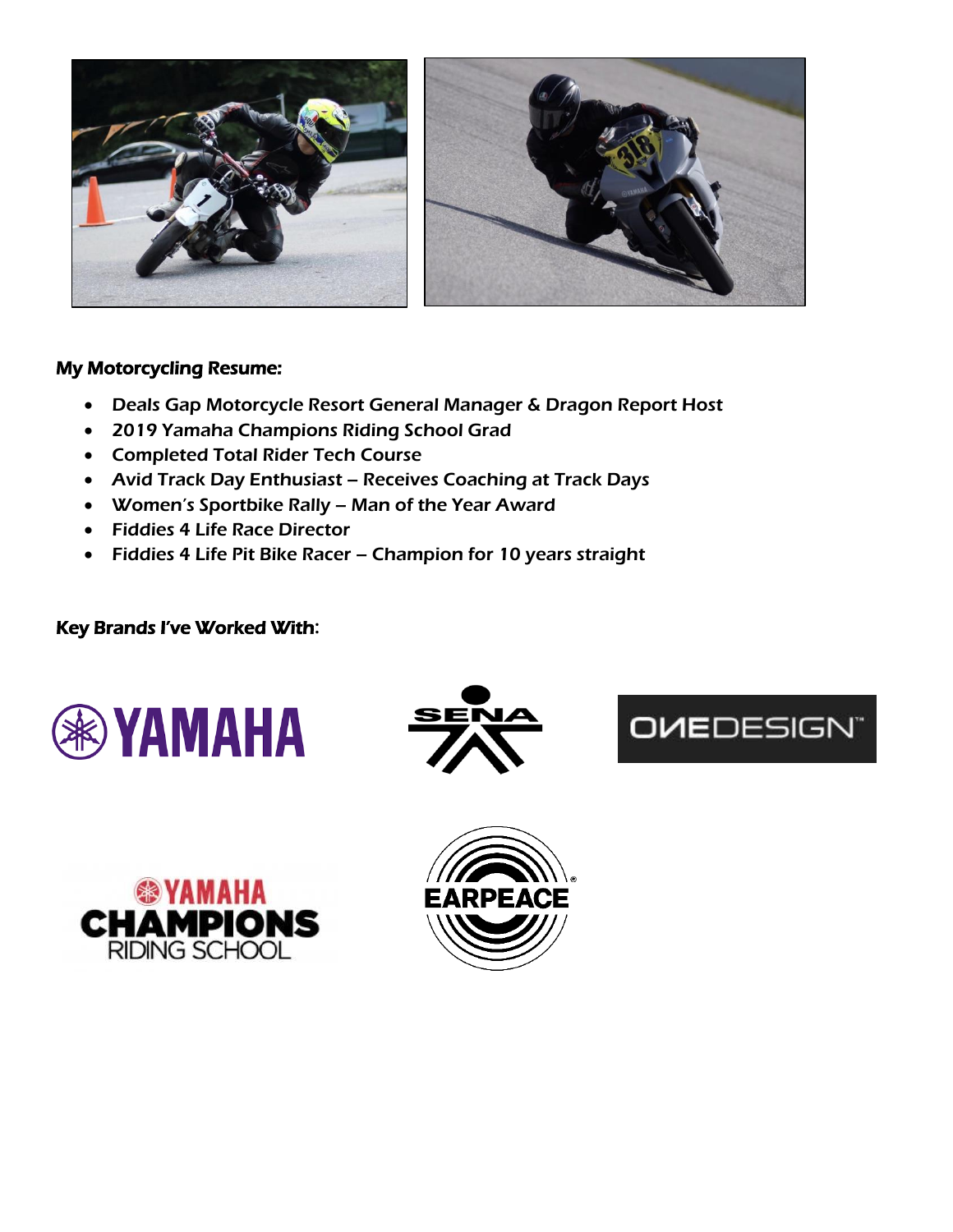

# My Motorcycling Resume:

- Deals Gap Motorcycle Resort General Manager & Dragon Report Host
- 2019 Yamaha Champions Riding School Grad
- Completed Total Rider Tech Course
- Avid Track Day Enthusiast Receives Coaching at Track Days
- Women's Sportbike Rally Man of the Year Award
- Fiddies 4 Life Race Director
- Fiddies 4 Life Pit Bike Racer Champion for 10 years straight

# Key Brands I've Worked With**:**









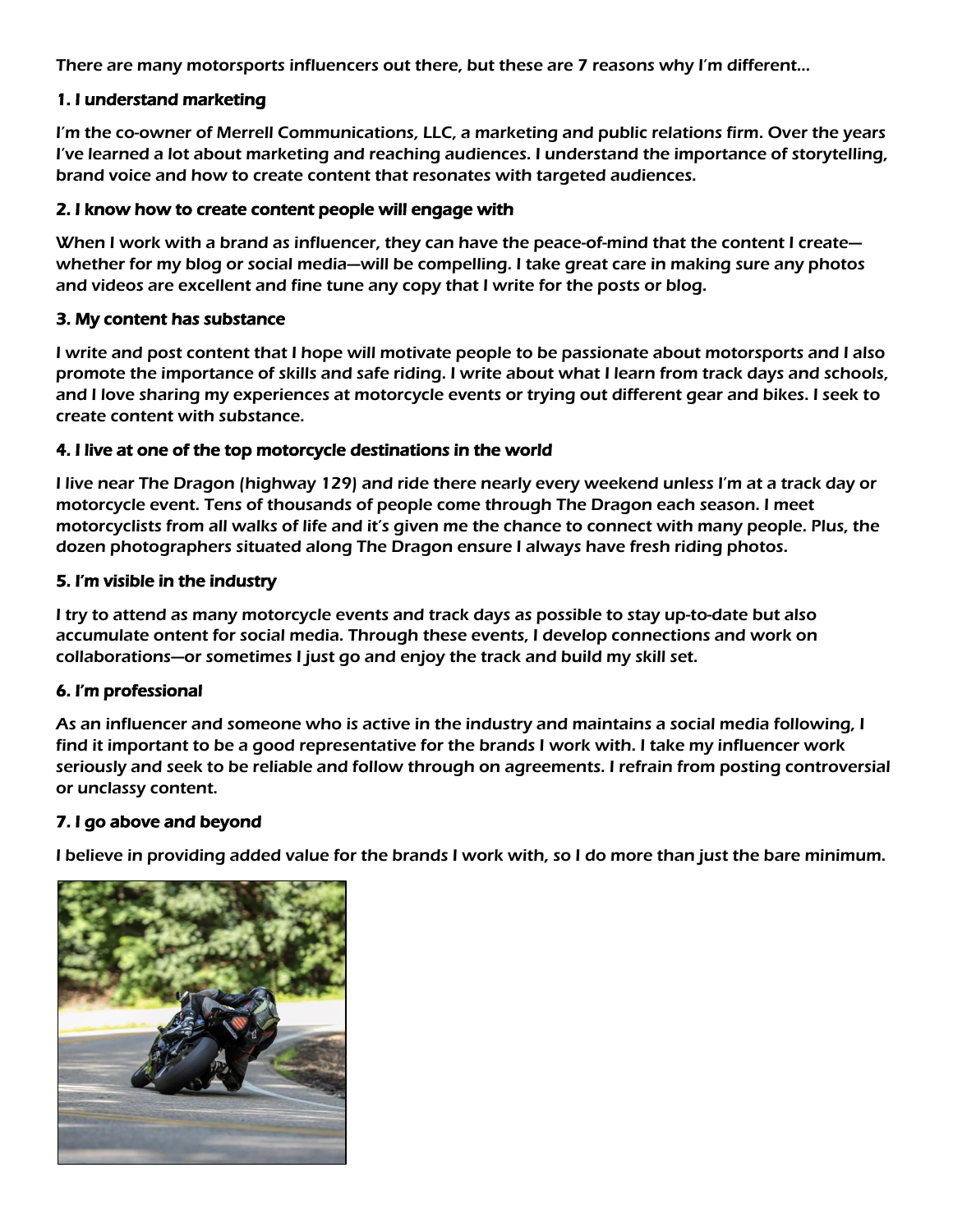There are many motorsports influencers out there, but these are 7 reasons why I'm different…

### 1. I understand marketing

I'm the co-owner of Merrell Communications, LLC, a marketing and public relations firm. Over the years I've learned a lot about marketing and reaching audiences. I understand the importance of storytelling, brand voice and how to create content that resonates with targeted audiences.

#### 2. I know how to create content people will engage with

When I work with a brand as influencer, they can have the peace-of-mind that the content I create whether for my blog or social media—will be compelling. I take great care in making sure any photos and videos are excellent and fine tune any copy that I write for the posts or blog.

#### 3. My content has substance

I write and post content that I hope will motivate people to be passionate about motorsports and I also promote the importance of skills and safe riding. I write about what I learn from track days and schools, and I love sharing my experiences at motorcycle events or trying out different gear and bikes. I seek to create content with substance.

### 4. I live at one of the top motorcycle destinations in the world

I live near The Dragon (highway 129) and ride there nearly every weekend unless I'm at a track day or motorcycle event. Tens of thousands of people come through The Dragon each season. I meet motorcyclists from all walks of life and it's given me the chance to connect with many people. Plus, the dozen photographers situated along The Dragon ensure I always have fresh riding photos.

#### 5. I'm visible in the industry

I try to attend as many motorcycle events and track days as possible to stay up-to-date but also accumulate ontent for social media. Through these events, I develop connections and work on collaborations—or sometimes I just go and enjoy the track and build my skill set.

# 6. I'm professional

As an influencer and someone who is active in the industry and maintains a social media following, I find it important to be a good representative for the brands I work with. I take my influencer work seriously and seek to be reliable and follow through on agreements. I refrain from posting controversial or unclassy content.

# 7. I go above and beyond

I believe in providing added value for the brands I work with, so I do more than just the bare minimum.

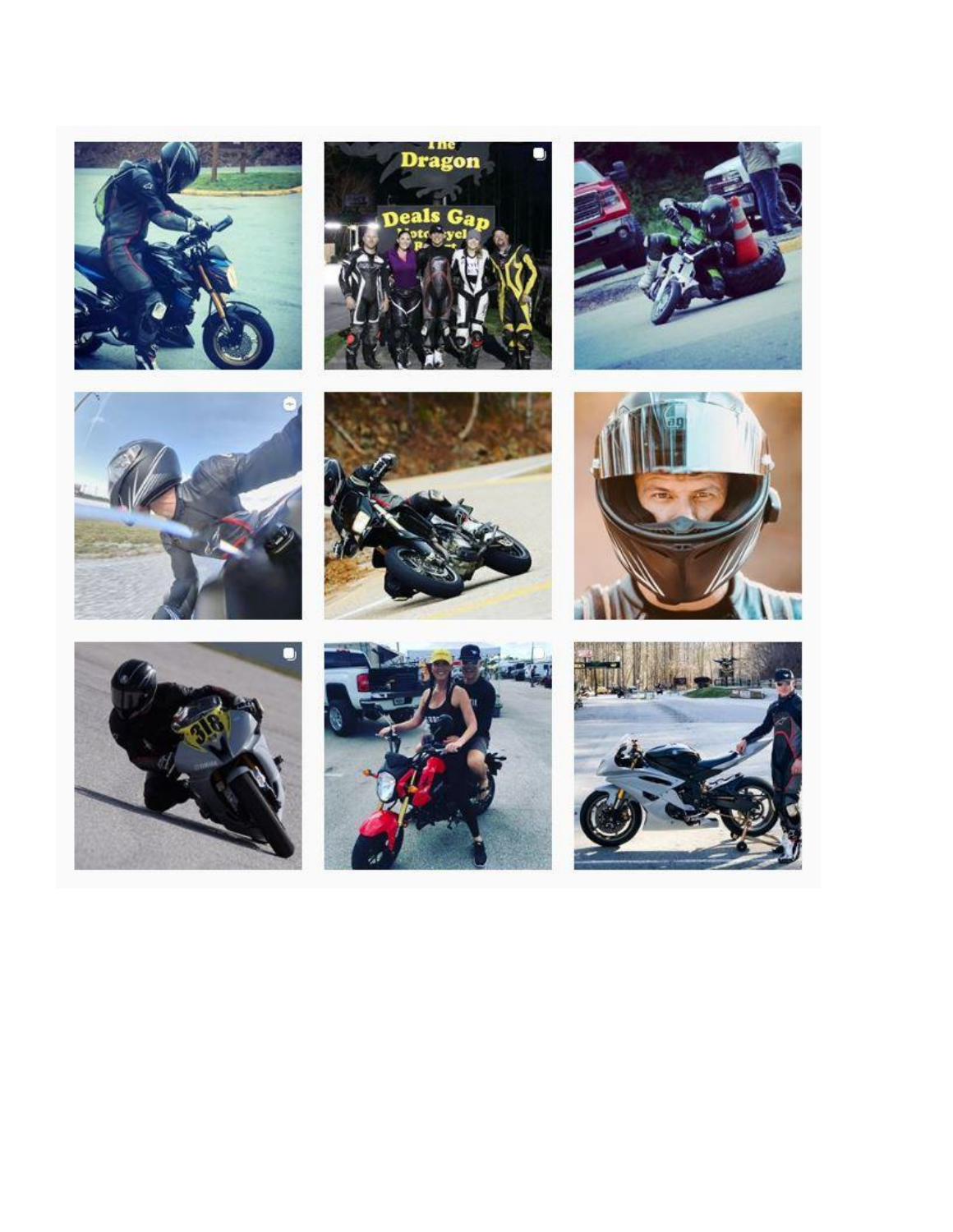















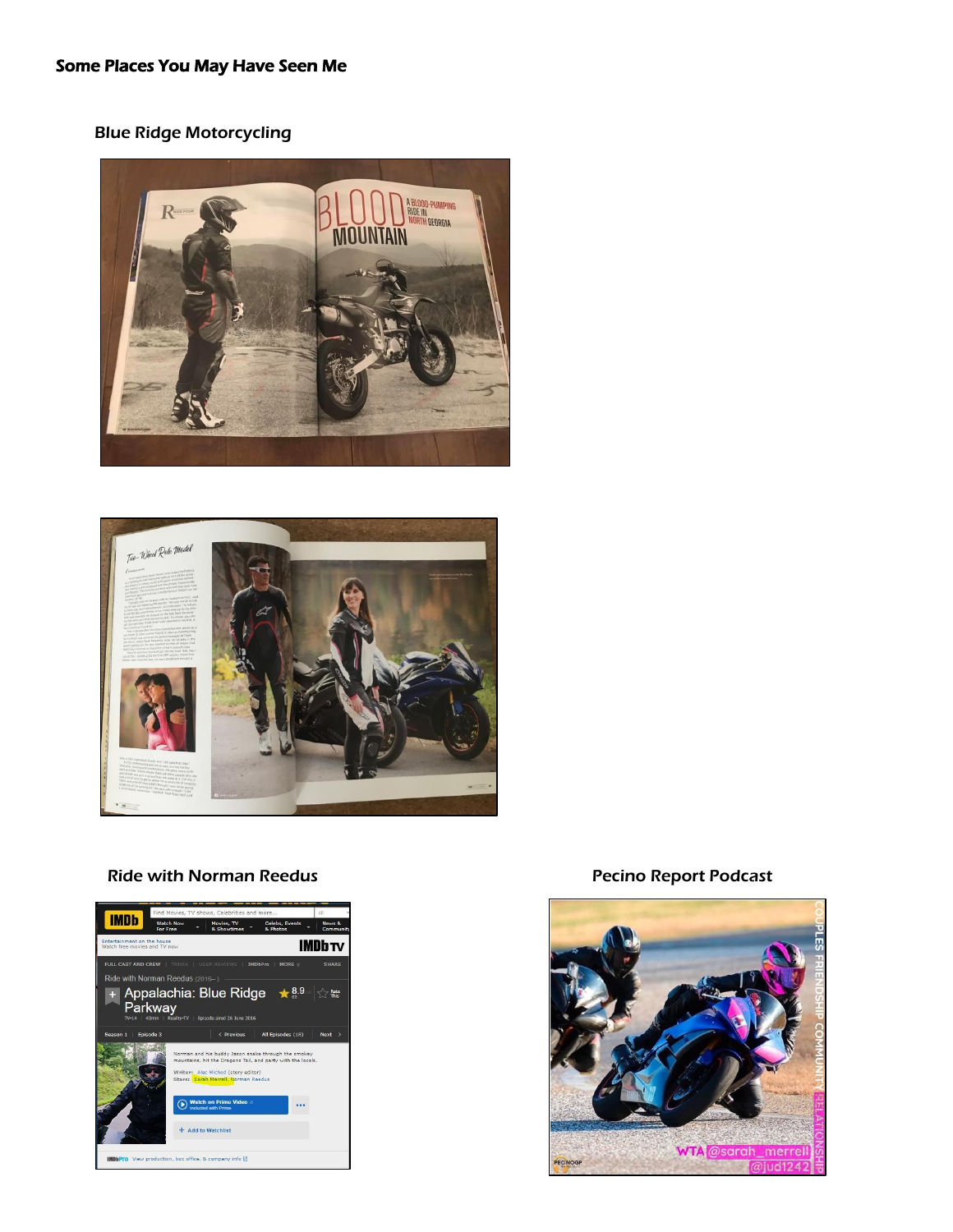# Blue Ridge Motorcycling





# Ride with Norman Reedus **Pecino Report Podcast**